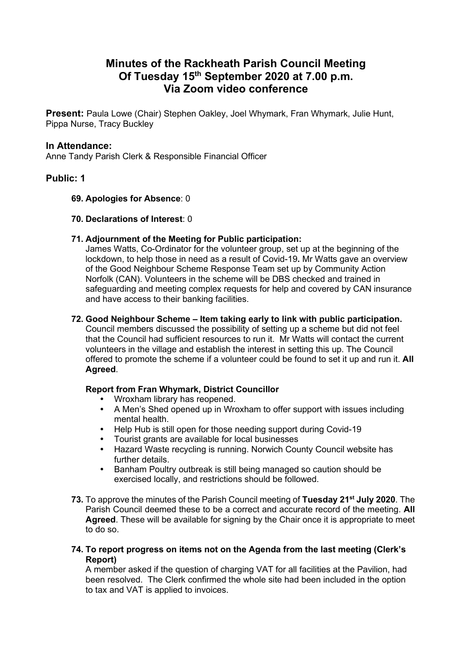# **Minutes of the Rackheath Parish Council Meeting Of Tuesday 15th September 2020 at 7.00 p.m. Via Zoom video conference**

**Present:** Paula Lowe (Chair) Stephen Oakley, Joel Whymark, Fran Whymark, Julie Hunt, Pippa Nurse, Tracy Buckley

### **In Attendance:**

Anne Tandy Parish Clerk & Responsible Financial Officer

# **Public: 1**

#### **69. Apologies for Absence**: 0

#### **70. Declarations of Interest**: 0

#### **71. Adjournment of the Meeting for Public participation:**

James Watts, Co-Ordinator for the volunteer group, set up at the beginning of the lockdown, to help those in need as a result of Covid-19**.** Mr Watts gave an overview of the Good Neighbour Scheme Response Team set up by Community Action Norfolk (CAN). Volunteers in the scheme will be DBS checked and trained in safeguarding and meeting complex requests for help and covered by CAN insurance and have access to their banking facilities.

## **72. Good Neighbour Scheme – Item taking early to link with public participation.**

Council members discussed the possibility of setting up a scheme but did not feel that the Council had sufficient resources to run it. Mr Watts will contact the current volunteers in the village and establish the interest in setting this up. The Council offered to promote the scheme if a volunteer could be found to set it up and run it. **All Agreed**.

# **Report from Fran Whymark, District Councillor**

- Wroxham library has reopened.
- A Men's Shed opened up in Wroxham to offer support with issues including mental health.
- Help Hub is still open for those needing support during Covid-19
- Tourist grants are available for local businesses
- Hazard Waste recycling is running. Norwich County Council website has further details.
- Banham Poultry outbreak is still being managed so caution should be exercised locally, and restrictions should be followed.
- **73.** To approve the minutes of the Parish Council meeting of **Tuesday 21st July 2020**. The Parish Council deemed these to be a correct and accurate record of the meeting. **All Agreed**. These will be available for signing by the Chair once it is appropriate to meet to do so.

#### **74. To report progress on items not on the Agenda from the last meeting (Clerk's Report)**

A member asked if the question of charging VAT for all facilities at the Pavilion, had been resolved. The Clerk confirmed the whole site had been included in the option to tax and VAT is applied to invoices.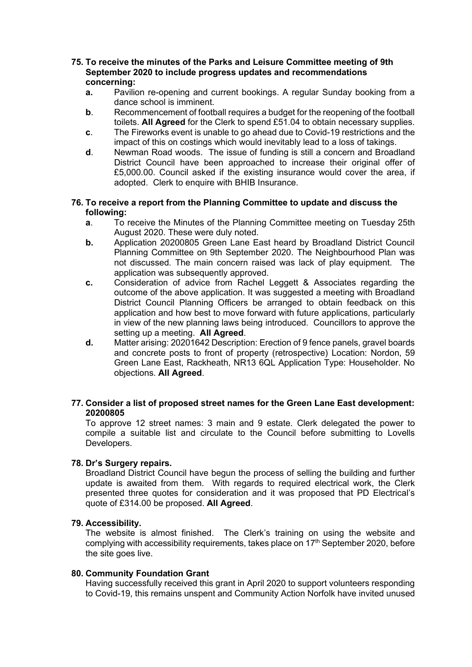#### **75. To receive the minutes of the Parks and Leisure Committee meeting of 9th September 2020 to include progress updates and recommendations concerning:**

- **a.** Pavilion re-opening and current bookings. A regular Sunday booking from a dance school is imminent.
- **b**. Recommencement of football requires a budget for the reopening of the football toilets. **All Agreed** for the Clerk to spend £51.04 to obtain necessary supplies.
- **c**. The Fireworks event is unable to go ahead due to Covid-19 restrictions and the impact of this on costings which would inevitably lead to a loss of takings.
- **d**. Newman Road woods. The issue of funding is still a concern and Broadland District Council have been approached to increase their original offer of £5,000.00. Council asked if the existing insurance would cover the area, if adopted. Clerk to enquire with BHIB Insurance.

#### **76. To receive a report from the Planning Committee to update and discuss the following:**

- **a**. To receive the Minutes of the Planning Committee meeting on Tuesday 25th August 2020. These were duly noted.
- **b.** Application 20200805 Green Lane East heard by Broadland District Council Planning Committee on 9th September 2020. The Neighbourhood Plan was not discussed. The main concern raised was lack of play equipment. The application was subsequently approved.
- **c.** Consideration of advice from Rachel Leggett & Associates regarding the outcome of the above application. It was suggested a meeting with Broadland District Council Planning Officers be arranged to obtain feedback on this application and how best to move forward with future applications, particularly in view of the new planning laws being introduced. Councillors to approve the setting up a meeting. **All Agreed**.
- **d.** Matter arising: 20201642 Description: Erection of 9 fence panels, gravel boards and concrete posts to front of property (retrospective) Location: Nordon, 59 Green Lane East, Rackheath, NR13 6QL Application Type: Householder. No objections. **All Agreed**.

#### **77. Consider a list of proposed street names for the Green Lane East development: 20200805**

To approve 12 street names: 3 main and 9 estate. Clerk delegated the power to compile a suitable list and circulate to the Council before submitting to Lovells Developers.

#### **78. Dr's Surgery repairs.**

Broadland District Council have begun the process of selling the building and further update is awaited from them. With regards to required electrical work, the Clerk presented three quotes for consideration and it was proposed that PD Electrical's quote of £314.00 be proposed. **All Agreed**.

#### **79. Accessibility.**

The website is almost finished. The Clerk's training on using the website and complying with accessibility requirements, takes place on  $17<sup>th</sup>$  September 2020, before the site goes live.

#### **80. Community Foundation Grant**

Having successfully received this grant in April 2020 to support volunteers responding to Covid-19, this remains unspent and Community Action Norfolk have invited unused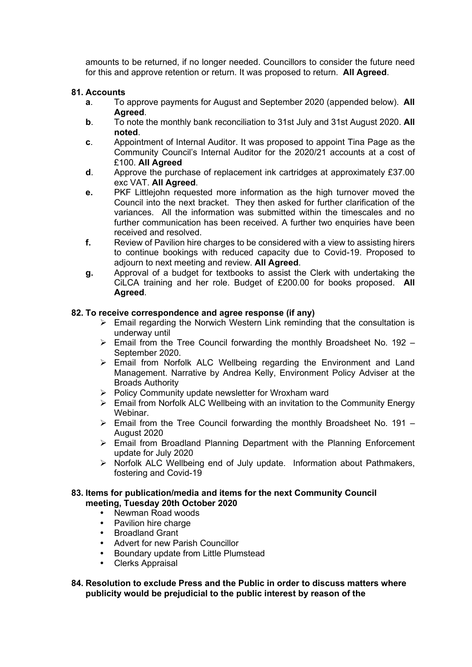amounts to be returned, if no longer needed. Councillors to consider the future need for this and approve retention or return. It was proposed to return. **All Agreed**.

#### **81. Accounts**

- **a**. To approve payments for August and September 2020 (appended below). **All Agreed**.
- **b**. To note the monthly bank reconciliation to 31st July and 31st August 2020. **All noted**.
- **c**. Appointment of Internal Auditor. It was proposed to appoint Tina Page as the Community Council's Internal Auditor for the 2020/21 accounts at a cost of £100. **All Agreed**
- **d**. Approve the purchase of replacement ink cartridges at approximately £37.00 exc VAT. **All Agreed**.
- **e.** PKF Littlejohn requested more information as the high turnover moved the Council into the next bracket. They then asked for further clarification of the variances. All the information was submitted within the timescales and no further communication has been received. A further two enquiries have been received and resolved.
- **f.** Review of Pavilion hire charges to be considered with a view to assisting hirers to continue bookings with reduced capacity due to Covid-19. Proposed to adjourn to next meeting and review. **All Agreed**.
- **g.** Approval of a budget for textbooks to assist the Clerk with undertaking the CiLCA training and her role. Budget of £200.00 for books proposed. **All Agreed**.

#### **82. To receive correspondence and agree response (if any)**

- $\triangleright$  Email regarding the Norwich Western Link reminding that the consultation is underway until
- $\triangleright$  Email from the Tree Council forwarding the monthly Broadsheet No. 192 September 2020.
- $\triangleright$  Email from Norfolk ALC Wellbeing regarding the Environment and Land Management. Narrative by Andrea Kelly, Environment Policy Adviser at the Broads Authority
- ➢ Policy Community update newsletter for Wroxham ward
- ➢ Email from Norfolk ALC Wellbeing with an invitation to the Community Energy Webinar.
- $\triangleright$  Email from the Tree Council forwarding the monthly Broadsheet No. 191 August 2020
- ➢ Email from Broadland Planning Department with the Planning Enforcement update for July 2020
- ➢ Norfolk ALC Wellbeing end of July update. Information about Pathmakers, fostering and Covid-19

#### **83. Items for publication/media and items for the next Community Council meeting, Tuesday 20th October 2020**

- Newman Road woods
- Pavilion hire charge
- Broadland Grant
- Advert for new Parish Councillor
- Boundary update from Little Plumstead
- Clerks Appraisal

#### **84. Resolution to exclude Press and the Public in order to discuss matters where publicity would be prejudicial to the public interest by reason of the**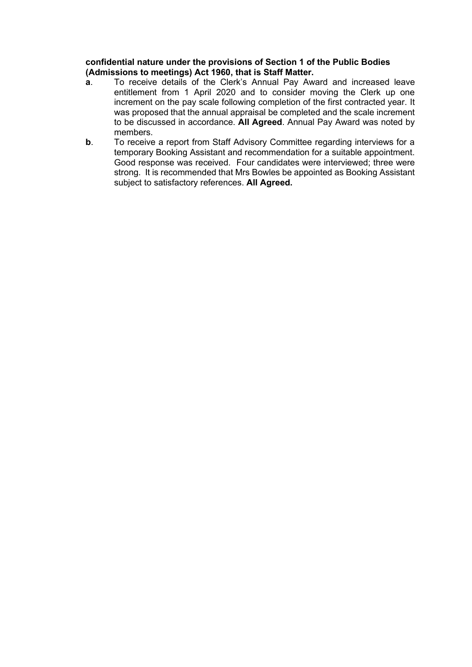**confidential nature under the provisions of Section 1 of the Public Bodies (Admissions to meetings) Act 1960, that is Staff Matter.**

- **a**. To receive details of the Clerk's Annual Pay Award and increased leave entitlement from 1 April 2020 and to consider moving the Clerk up one increment on the pay scale following completion of the first contracted year. It was proposed that the annual appraisal be completed and the scale increment to be discussed in accordance. **All Agreed**. Annual Pay Award was noted by members.
- **b**. To receive a report from Staff Advisory Committee regarding interviews for a temporary Booking Assistant and recommendation for a suitable appointment. Good response was received. Four candidates were interviewed; three were strong. It is recommended that Mrs Bowles be appointed as Booking Assistant subject to satisfactory references. **All Agreed.**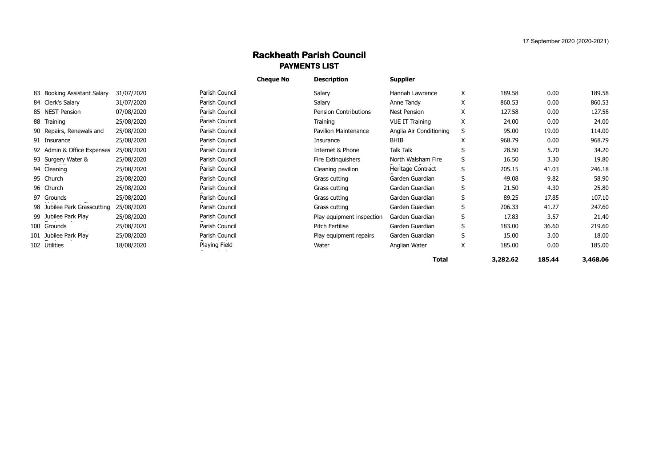## **Rackheath Parish Council PAYMENTS LIST**

|                              |            |                | <b>Cheque No</b> | <b>Description</b>          | <b>Supplier</b>         |   |          |        |          |
|------------------------------|------------|----------------|------------------|-----------------------------|-------------------------|---|----------|--------|----------|
| 83 Booking Assistant Salary  | 31/07/2020 | Parish Council |                  | Salary                      | Hannah Lawrance         | X | 189.58   | 0.00   | 189.58   |
| 84 Clerk's Salary            | 31/07/2020 | Parish Council |                  | Salary                      | Anne Tandy              | X | 860.53   | 0.00   | 860.53   |
| 85 NEST Pension              | 07/08/2020 | Parish Council |                  | Pension Contributions       | Nest Pension            | X | 127.58   | 0.00   | 127.58   |
| 88 Training                  | 25/08/2020 | Parish Council |                  | Training                    | <b>VUE IT Training</b>  | X | 24.00    | 0.00   | 24.00    |
| 90 Repairs, Renewals and     | 25/08/2020 | Parish Council |                  | <b>Pavilion Maintenance</b> | Anglia Air Conditioning | S | 95.00    | 19.00  | 114.00   |
| 91 Insurance                 | 25/08/2020 | Parish Council |                  | Insurance                   | <b>BHIB</b>             | X | 968.79   | 0.00   | 968.79   |
| 92 Admin & Office Expenses   | 25/08/2020 | Parish Council |                  | Internet & Phone            | Talk Talk               | S | 28.50    | 5.70   | 34.20    |
| 93 Surgery Water &           | 25/08/2020 | Parish Council |                  | Fire Extinguishers          | North Walsham Fire      | S | 16.50    | 3.30   | 19.80    |
| 94 Cleaning                  | 25/08/2020 | Parish Council |                  | Cleaning pavilion           | Heritage Contract       | S | 205.15   | 41.03  | 246.18   |
| 95 Church                    | 25/08/2020 | Parish Council |                  | Grass cutting               | Garden Guardian         | S | 49.08    | 9.82   | 58.90    |
| 96 Church                    | 25/08/2020 | Parish Council |                  | Grass cutting               | Garden Guardian         | S | 21.50    | 4.30   | 25.80    |
| 97 Grounds                   | 25/08/2020 | Parish Council |                  | Grass cutting               | Garden Guardian         | S | 89.25    | 17.85  | 107.10   |
| 98 Jubilee Park Grasscutting | 25/08/2020 | Parish Council |                  | Grass cutting               | Garden Guardian         | S | 206.33   | 41.27  | 247.60   |
| 99 Jubilee Park Play         | 25/08/2020 | Parish Council |                  | Play equipment inspection   | Garden Guardian         | S | 17.83    | 3.57   | 21.40    |
| 100 Grounds                  | 25/08/2020 | Parish Council |                  | Pitch Fertilise             | Garden Guardian         | S | 183.00   | 36.60  | 219.60   |
| 101 Jubilee Park Play        | 25/08/2020 | Parish Council |                  | Play equipment repairs      | Garden Guardian         | S | 15.00    | 3.00   | 18.00    |
| 102 Utilities                | 18/08/2020 | Playing Field  |                  | Water                       | Anglian Water           | X | 185.00   | 0.00   | 185.00   |
|                              |            |                |                  |                             | <b>Total</b>            |   | 3,282.62 | 185.44 | 3,468.06 |